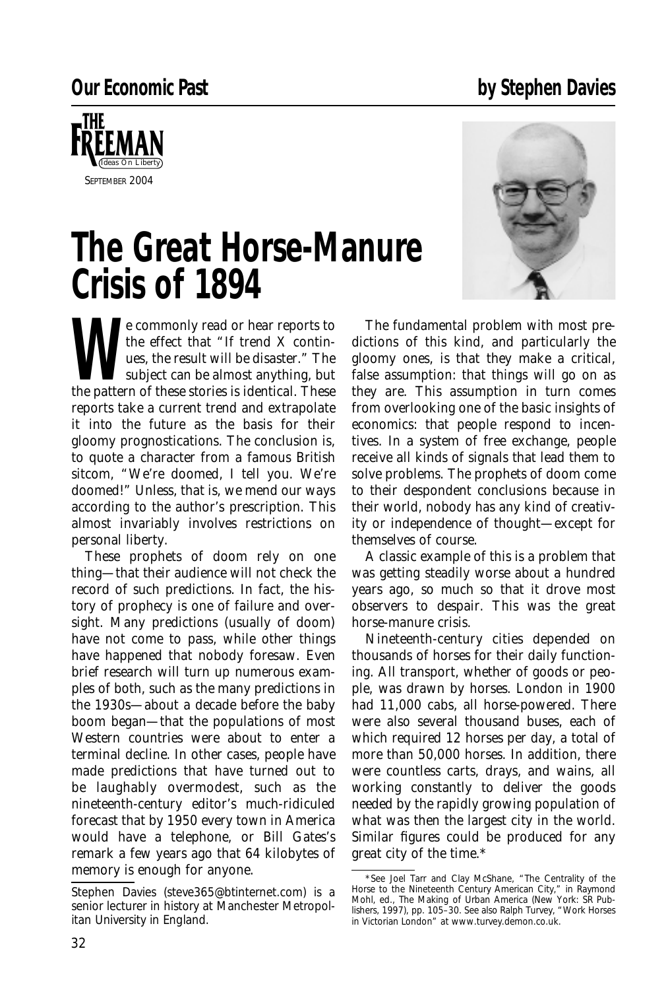## **Our Economic Past by Stephen Davies**



## **The Great Horse-Manure Crisis of 1894**



Example that "If trend X continuously the effect that "If trend X continuously the result will be disaster." The subject can be almost anything, but the pattern of these stories is identical. These the effect that "If trend *X* continues, the result will be disaster." The subject can be almost anything, but the pattern of these stories is identical. These reports take a current trend and extrapolate it into the future as the basis for their gloomy prognostications. The conclusion is, to quote a character from a famous British sitcom, "We're doomed, I tell you. We're doomed!" Unless, that is, we mend our ways according to the author's prescription. This almost invariably involves restrictions on personal liberty.

These prophets of doom rely on one thing—that their audience will not check the record of such predictions. In fact, the history of prophecy is one of failure and oversight. Many predictions (usually of doom) have not come to pass, while other things have happened that nobody foresaw. Even brief research will turn up numerous examples of both, such as the many predictions in the 1930s—about a decade before the baby boom began—that the populations of most Western countries were about to enter a terminal decline. In other cases, people have made predictions that have turned out to be laughably overmodest, such as the nineteenth-century editor's much-ridiculed forecast that by 1950 every *town* in America would have a telephone, or Bill Gates's remark a few years ago that 64 kilobytes of memory is enough for anyone.

The fundamental problem with most predictions of this kind, and particularly the gloomy ones, is that they make a critical, false assumption: that things will go on as they are. This assumption in turn comes from overlooking one of the basic insights of economics: that people respond to incentives. In a system of free exchange, people receive all kinds of signals that lead them to solve problems. The prophets of doom come to their despondent conclusions because in their world, nobody has any kind of creativity or independence of thought—except for themselves of course.

A classic example of this is a problem that was getting steadily worse about a hundred years ago, so much so that it drove most observers to despair. This was the great horse-manure crisis.

Nineteenth-century cities depended on thousands of horses for their daily functioning. All transport, whether of goods or people, was drawn by horses. London in 1900 had 11,000 cabs, all horse-powered. There were also several thousand buses, each of which required 12 horses per day, a total of more than 50,000 horses. In addition, there were countless carts, drays, and wains, all working constantly to deliver the goods needed by the rapidly growing population of what was then the largest city in the world. Similar figures could be produced for any great city of the time.\*

*Stephen Davies (steve365@btinternet.com) is a senior lecturer in history at Manchester Metropolitan University in England.*

<sup>\*</sup>See Joel Tarr and Clay McShane, "The Centrality of the Horse to the Nineteenth Century American City," in Raymond Mohl, ed., *The Making of Urban America* (New York: SR Publishers, 1997), pp. 105–30. See also Ralph Turvey, "Work Horses in Victorian London" at www.turvey.demon.co.uk.